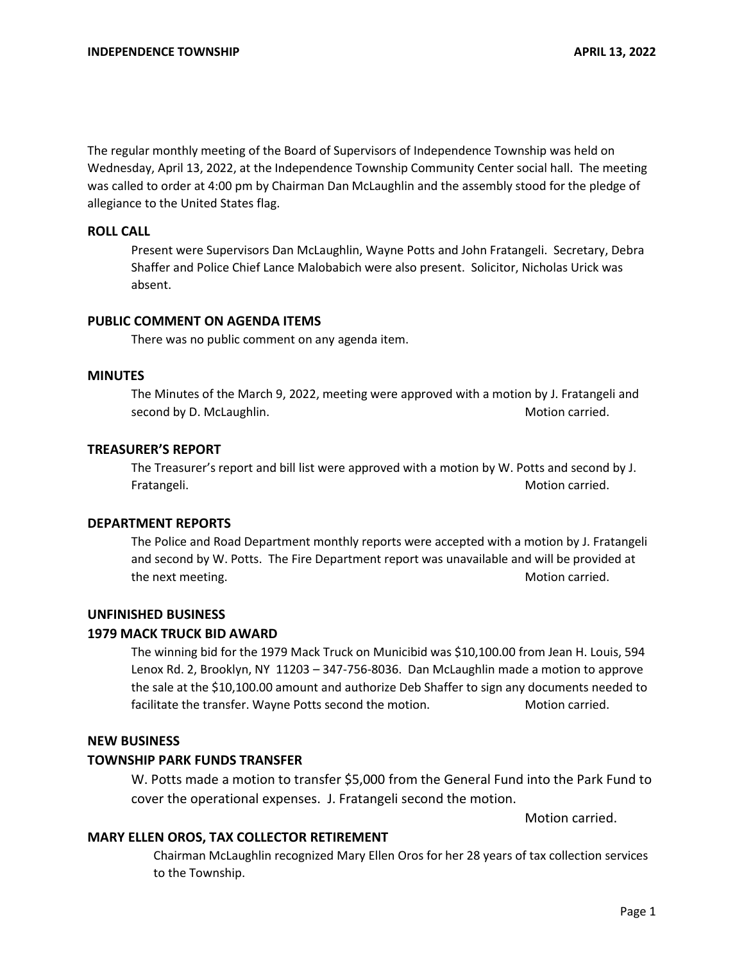The regular monthly meeting of the Board of Supervisors of Independence Township was held on Wednesday, April 13, 2022, at the Independence Township Community Center social hall. The meeting was called to order at 4:00 pm by Chairman Dan McLaughlin and the assembly stood for the pledge of allegiance to the United States flag.

# **ROLL CALL**

Present were Supervisors Dan McLaughlin, Wayne Potts and John Fratangeli. Secretary, Debra Shaffer and Police Chief Lance Malobabich were also present. Solicitor, Nicholas Urick was absent.

# **PUBLIC COMMENT ON AGENDA ITEMS**

There was no public comment on any agenda item.

#### **MINUTES**

The Minutes of the March 9, 2022, meeting were approved with a motion by J. Fratangeli and second by D. McLaughlin. Motion carried. Motion carried.

### **TREASURER'S REPORT**

The Treasurer's report and bill list were approved with a motion by W. Potts and second by J. Fratangeli. **Motion carried.** The state of the state of the state of the state of the state of the state of the state of the state of the state of the state of the state of the state of the state of the state of the state

#### **DEPARTMENT REPORTS**

The Police and Road Department monthly reports were accepted with a motion by J. Fratangeli and second by W. Potts. The Fire Department report was unavailable and will be provided at the next meeting. The next meeting of the next meeting.

### **UNFINISHED BUSINESS**

#### **1979 MACK TRUCK BID AWARD**

The winning bid for the 1979 Mack Truck on Municibid was \$10,100.00 from Jean H. Louis, 594 Lenox Rd. 2, Brooklyn, NY 11203 – 347-756-8036. Dan McLaughlin made a motion to approve the sale at the \$10,100.00 amount and authorize Deb Shaffer to sign any documents needed to facilitate the transfer. Wayne Potts second the motion. Motion carried.

# **NEW BUSINESS**

#### **TOWNSHIP PARK FUNDS TRANSFER**

W. Potts made a motion to transfer \$5,000 from the General Fund into the Park Fund to cover the operational expenses. J. Fratangeli second the motion.

Motion carried.

# **MARY ELLEN OROS, TAX COLLECTOR RETIREMENT**

Chairman McLaughlin recognized Mary Ellen Oros for her 28 years of tax collection services to the Township.